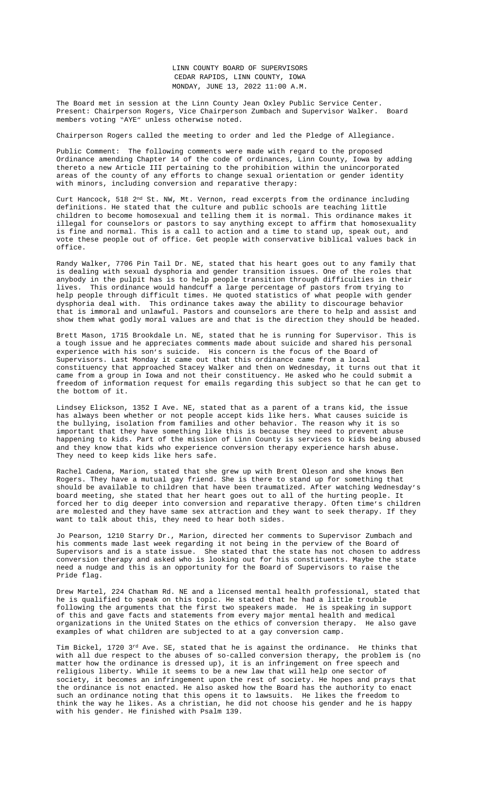thereto a new Article III pertaining to the prohibition within the unincorporated areas of the county of any efforts to change sexual orientation or gender identity with minors, including conversion and reparative therapy:

Curt Hancock, 518 2<sup>nd</sup> St. NW, Mt. Vernon, read excerpts from the ordinance including definitions. He stated that the culture and public schools are teaching little children to become homosexual and telling them it is normal. This ordinance makes it illegal for counselors or pastors to say anything except to affirm that homosexuality is fine and normal. This is a call to action and a time to stand up, speak out, and vote these people out of office. Get people with conservative biblical values back in office.

Randy Walker, 7706 Pin Tail Dr. NE, stated that his heart goes out to any family that is dealing with sexual dysphoria and gender transition issues. One of the roles that anybody in the pulpit has is to help people transition through difficulties in their lives. This ordinance would handcuff a large percentage of pastors from trying to help people through difficult times. He quoted statistics of what people with gender dysphoria deal with. This ordinance takes away the ability to discourage behavior that is immoral and unlawful. Pastors and counselors are there to help and assist and show them what godly moral values are and that is the direction they should be headed.

Brett Mason, 1715 B[rookdale Ln. NE, stated that he is r](Documents/6-6,%206-8,%206-13%20LC%20ORDINANCE%20on%20Conversion%20Therapy.pdf)unning for Supervisor. This is a tough issue and he appreciates comments made about suicide and shared his personal experience with his son's suicide. His concern is the focus of the Board of Supervisors. Last Monday it came out that this ordinance came from a local constituency that approached Stacey Walker and then on Wednesday, it turns out that it came from a group in Iowa and not their constituency. He asked who he could submit a freedom of information request for emails regarding this subject so that he can get to the bottom of it.

Lindsey Elickson, 1352 I Ave. NE, stated that as a parent of a trans kid, the issue has always been whether or not people accept kids like hers. What causes suicide is the bullying, isolation from families and other behavior. The reason why it is so important that they have something like this is because they need to prevent abuse happening to kids. Part of the mission of Linn County is services to kids being abused and they know that kids who experience conversion therapy experience harsh abuse. They need to keep kids like hers safe.

Rachel Cadena, Marion, stated that she grew up with Brent Oleson and she knows Ben Rogers. They have a mutual gay friend. She is there to stand up for something that should be available to children that have been traumatized. After watching Wednesday's board meeting, she stated that her heart goes out to all of the hurting people. It forced her to dig deeper into conversion and reparative therapy. Often time's children are molested and they have same sex attraction and they want to seek therapy. If they want to talk about this, they need to hear both sides.

Jo Pearson, 1210 Starry Dr., Marion, directed her comments to Supervisor Zumbach and his comments made last week regarding it not being in the perview of the Board of Supervisors and is a state issue. She stated that the state has not chosen to address conversion therapy and asked who is looking out for his constituents. Maybe the state need a nudge and this is an opportunity for the Board of Supervisors to raise the Pride flag.

Drew Martel, 224 Chatham Rd. NE and a licensed mental health professional, stated that he is qualified to speak on this topic. He stated that he had a little trouble following the arguments that the first two speakers made. He is speaking in support of this and gave facts and statements from every major mental health and medical organizations in the United States on the ethics of conversion therapy. He also gave examples of what children are subjected to at a gay conversion camp.

Tim Bickel, 1720  $3^{rd}$  Ave. SE, stated that he is against the ordinance. He thinks that with all due respect to the abuses of so-called conversion therapy, the problem is (no matter how the ordinance is dressed up), it is an infringement on free speech and religious liberty. While it seems to be a new law that will help one sector of society, it becomes an infringement upon the rest of society. He hopes and prays that the ordinance is not enacted. He also asked how the Board has the authority to enact such an ordinance noting that this opens it to lawsuits. He likes the freedom to think the way he likes. As a christian, he did not choose his gender and he is happy with his gender. He finished with Psalm 139.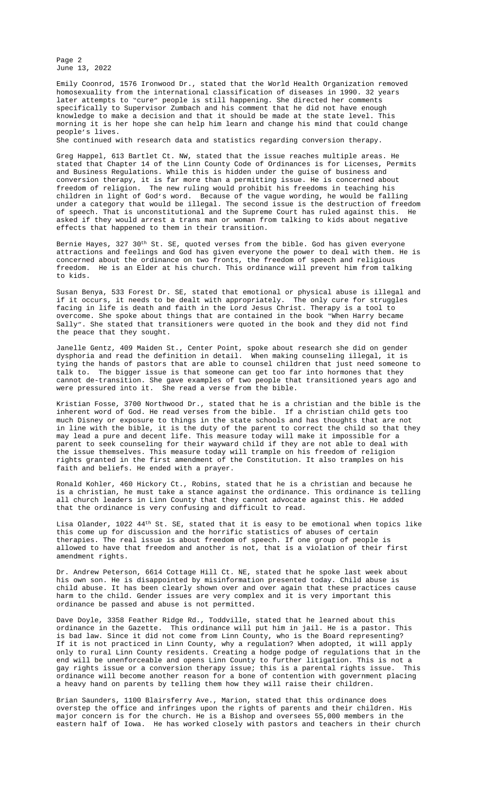Page 2 June 13, 2022

Emily Coonrod, 1576 Ironwood Dr., stated that the World Health Organization removed homosexuality from the international classification of diseases in 1990. 32 years later attempts to "cure" people is still happening. She directed her comments specifically to Supervisor Zumbach and his comment that he did not have enough knowledge to make a decision and that it should be made at the state level. This morning it is her hope she can help him learn and change his mind that could change people's lives. She continued with research data and statistics regarding conversion therapy.

Greg Happel, 613 Bartlet Ct. NW, stated that the issue reaches multiple areas. He stated that Chapter 14 of the Linn County Code of Ordinances is for Licenses, Permits and Business Regulations. While this is hidden under the guise of business and conversion therapy, it is far more than a permitting issue. He is concerned about freedom of religion. The new ruling would prohibit his freedoms in teaching his children in light of God's word. Because of the vague wording, he would be falling under a category that would be illegal. The second issue is the destruction of freedom of speech. That is unconstitutional and the Supreme Court has ruled against this. He asked if they would arrest a trans man or woman from talking to kids about negative effects that happened to them in their transition.

Bernie Hayes, 327 30<sup>th</sup> St. SE, quoted verses from the bible. God has given everyone attractions and feelings and God has given everyone the power to deal with them. He is concerned about the ordinance on two fronts, the freedom of speech and religious freedom. He is an Elder at his church. This ordinance will prevent him from talking to kids.

Susan Benya, 533 Forest Dr. SE, stated that emotional or physical abuse is illegal and if it occurs, it needs to be dealt with appropriately. The only cure for struggles facing in life is death and faith in the Lord Jesus Christ. Therapy is a tool to overcome. She spoke about things that are contained in the book "When Harry became Sally". She stated that transitioners were quoted in the book and they did not find the peace that they sought.

Janelle Gentz, 409 Maiden St., Center Point, spoke about research she did on gender dysphoria and read the definition in detail. When making counseling illegal, it is tying the hands of pastors that are able to counsel children that just need someone to talk to. The bigger issue is that someone can get too far into hormones that they cannot de-transition. She gave examples of two people that transitioned years ago and were pressured into it. She read a verse from the bible.

Kristian Fosse, 3700 Northwood Dr., stated that he is a christian and the bible is the inherent word of God. He read verses from the bible. If a christian child gets too much Disney or exposure to things in the state schools and has thoughts that are not in line with the bible, it is the duty of the parent to correct the child so that they may lead a pure and decent life. This measure today will make it impossible for a parent to seek counseling for their wayward child if they are not able to deal with the issue themselves. This measure today will trample on his freedom of religion rights granted in the first amendment of the Constitution. It also tramples on his faith and beliefs. He ended with a prayer.

Ronald Kohler, 460 Hickory Ct., Robins, stated that he is a christian and because he is a christian, he must take a stance against the ordinance. This ordinance is telling all church leaders in Linn County that they cannot advocate against this. He added that the ordinance is very confusing and difficult to read.

Lisa Olander, 1022 44<sup>th</sup> St. SE, stated that it is easy to be emotional when topics like this come up for discussion and the horrific statistics of abuses of certain therapies. The real issue is about freedom of speech. If one group of people is allowed to have that freedom and another is not, that is a violation of their first amendment rights.

Dr. Andrew Peterson, 6614 Cottage Hill Ct. NE, stated that he spoke last week about his own son. He is disappointed by misinformation presented today. Child abuse is child abuse. It has been clearly shown over and over again that these practices cause harm to the child. Gender issues are very complex and it is very important this ordinance be passed and abuse is not permitted.

Dave Doyle, 3358 Feather Ridge Rd., Toddville, stated that he learned about this ordinance in the Gazette. This ordinance will put him in jail. He is a pastor. This is bad law. Since it did not come from Linn County, who is the Board representing? If it is not practiced in Linn County, why a regulation? When adopted, it will apply only to rural Linn County residents. Creating a hodge podge of regulations that in the end will be unenforceable and opens Linn County to further litigation. This is not a gay rights issue or a conversion therapy issue; this is a parental rights issue. This ordinance will become another reason for a bone of contention with government placing a heavy hand on parents by telling them how they will raise their children.

Brian Saunders, 1100 Blairsferry Ave., Marion, stated that this ordinance does overstep the office and infringes upon the rights of parents and their children. His major concern is for the church. He is a Bishop and oversees 55,000 members in the eastern half of Iowa. He has worked closely with pastors and teachers in their church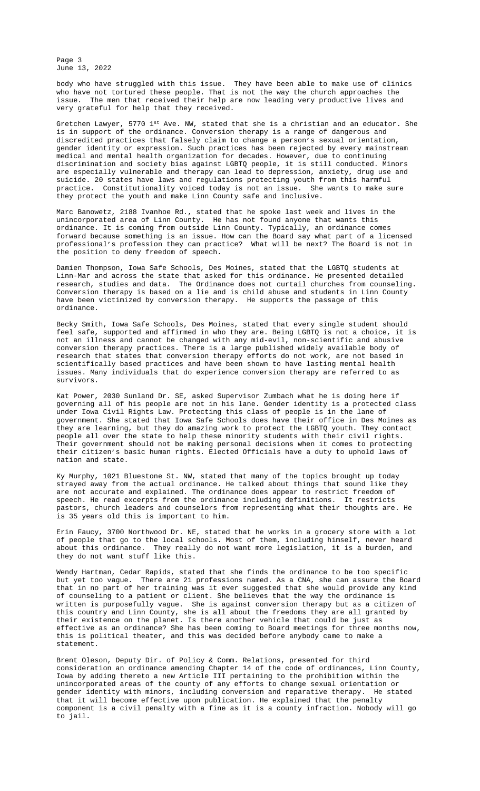are especially vulnerable and therapy can lead to depression, anxiety, drug use and suicide. 20 states have laws and regulations protecting youth from this harmful practice. Constitutionality voiced today is not an issue. She wants to make sure they protect the youth and make Linn County safe and inclusive.

Marc Banowetz, 2188 Ivanhoe Rd., stated that he spoke last week and lives in the unincorporated area of Linn County. He has not found anyone that wants this ordinance. It is coming from outside Linn County. Typically, an ordinance comes forward because something is an issue. How can the Board say what part of a licensed professional's profession they can practice? What will be next? The Board is not in the position to deny freedom of speech.

Damien Thompson, Iowa Safe Schools, Des Moines, stated that the LGBTQ students at Linn-Mar and across the state that asked for this ordinance. He presented detailed research, studies and data. The Ordinance does not curtail churches from counseling. Conversion therapy is based on a lie and is child abuse and students in Linn County have been victimized by conversion therapy. He supports the passage of this ordinance.

Becky Smith, Iowa Safe Schools, Des Moines, stated that every single student should feel safe, supported and affirmed in who they are. Being LGBTQ is not a choice, it is not an illness and cannot be changed with any mid-evil, non-scientific and abusive conversion therapy practices. There is a large published widely available body of research that states that conversion therapy efforts do not work, are not based in scientifically based practices and have been shown to have lasting mental health issues. Many individuals that do experience conversion therapy are referred to as survivors.

Kat Power, 2030 Sunland Dr. SE, asked Supervisor Zumbach what he is doing here if governing all of his people are not in his lane. Gender identity is a protected class under Iowa Civil Rights Law. Protecting this class of people is in the lane of government. She stated that Iowa Safe Schools does have their office in Des Moines as they are learning, but they do amazing work to protect the LGBTQ youth. They contact people all over the state to help these minority students with their civil rights. Their government should not be making personal decisions when it comes to protecting their citizen's basic human rights. Elected Officials have a duty to uphold laws of nation and state.

Ky Murphy, 1021 Bluestone St. NW, stated that many of the topics brought up today strayed away from the actual ordinance. He talked about things that sound like they are not accurate and explained. The ordinance does appear to restrict freedom of speech. He read excerpts from the ordinance including definitions. It restricts pastors, church leaders and counselors from representing what their thoughts are. He is 35 years old this is important to him.

Erin Faucy, 3700 Northwood Dr. NE, stated that he works in a grocery store with a lot of people that go to the local schools. Most of them, including himself, never heard about this ordinance. They really do not want more legislation, it is a burden, and they do not want stuff like this.

Wendy Hartman, Cedar Rapids, stated that she finds the ordinance to be too specific but yet too vague. There are 21 professions named. As a CNA, she can assure the Board that in no part of her training was it ever suggested that she would provide any kind of counseling to a patient or client. She believes that the way the ordinance is written is purposefully vague. She is against conversion therapy but as a citizen of this country and Linn County, she is all about the freedoms they are all granted by their existence on the planet. Is there another vehicle that could be just as effective as an ordinance? She has been coming to Board meetings for three months now, this is political theater, and this was decided before anybody came to make a statement.

Brent Oleson, Deputy Dir. of Policy & Comm. Relations, presented for third consideration an ordinance amending Chapter 14 of the code of ordinances, Linn County, Iowa by adding thereto a new Article III pertaining to the prohibition within the unincorporated areas of the county of any efforts to change sexual orientation or gender identity with minors, including conversion and reparative therapy. He stated that it will become effective upon publication. He explained that the penalty component is a civil penalty with a fine as it is a county infraction. Nobody will go to jail.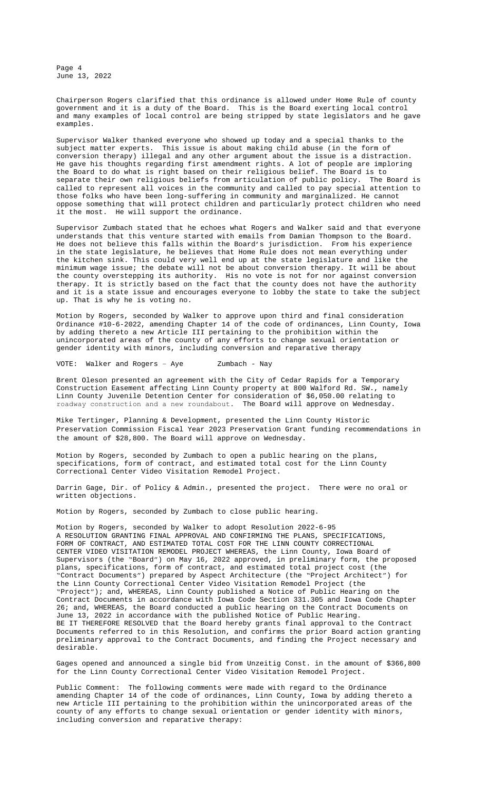the Board to do what is right based on their religious belief. The Board is to separate their own religious beliefs from articulation of public policy. The Board is called to represent all voices in the community and called to pay special attention to those folks who have been long-suffering in community and marginalized. He cannot oppose something that will protect children and particularly protect children who need it the most. He will support the ordinance.

Supervisor Zumbach stated that he echoes what Rogers and Walker said and that everyone understands that this venture started with emails from Damian Thompson to the Board. He does not believe this falls within the Board's jurisdiction. From his experience in the state legislature, he believes that Home Rule does not mean everything under the kitchen sink. This could very well end up at the state legislature and like the minimum wage issue; the debate will not be about conversion therapy. It will be about the county overstepping its authority. His no vote is not for nor against conversion therapy. It is strictly based on the fact that the county does not have the authority and it is a state issue and encourages everyone to lobby the state to take the subject up. That is why he is voting no.

Motion by Rogers, seconded by Walker to approve upon third and final consideration Ordinance #10-6-2022, amending Chapter 14 of the code of ordinances, Linn County, Iowa by adding thereto a new Article III pertaining to the prohibition within the unincorporated areas of the county of any efforts to change sexual orientation or gender identity with minors, including conversion and reparative therapy

VOTE: Walker and Rogers – Aye Zumbach - Nay

Brent Oleson presented an agreement with the City of Cedar Rapids for a Temporary Construction Easement affecting Linn County property at 800 Walford Rd. SW., namely Linn County Juvenile Detention Center for consideration of \$6,050.00 relating to roadway construction and a new roundabout. The Board will approve on Wednesday.

Mike Tertinger, Planning & Development, presented the Linn County Historic Preservation Commission Fiscal Year 2023 Preservation Grant funding recommendations in the amount of \$28,800. The Board will approve on Wednesday.

Motion by Rogers, seconded by Zumbach to open a public hearing on the plans, specifications, form of contract, and estimated total cost for the Linn County Correctional Center Video Visitation Remodel Project.

Darrin Gage, Dir. of Policy & [Admin., presented the project. There](Documents/6-6,%206-8,%206-13%20LC%20ORDINANCE%20on%20Conversion%20Therapy.pdf) were no oral or written objections.

Motion by Rogers, seconded by Zumbach to close public hearing.

Motion by Rogers, seconded by Walker to adopt Resolution 2022-6-95 A RESOLUTION GRANTING FINAL APPROVAL AND CONFIRMING THE PLANS, SPECIFICATIONS, FORM OF CONTRACT, AND ESTIMATED TOTAL COST FOR THE LINN COUNTY CORRECTIONAL CENTER VIDEO VISITATION REMODEL PROJECT WHEREAS, the Linn County, Iowa Board of Supervisors (the "Board") on May 16, 2022 approved, in [preliminary form, th](Documents/6-13%20&%206-15%20800%20Walford%20rd%20temporary%20easement%20with%20Cedar%20Rapids.pdf)e proposed plans, specifications, form of contract, and estimated total project cost (the "Contract Documents") prepared by Aspect Architecture (the "Project Architect") for the Linn County Correctional Center Video Visitation Remodel Project (the "Project"); and, WHEREAS, Linn County published a Notice of Public Hearing on the Contract Documents in ac[cordance with Iowa Code Section 331.305 and](Documents/6-13%20&%206-15%20FY23%20HPC%20Grant%20Funding%20Recommendations.pdf) Iowa Code Chapter 26; and, WHEREAS, the Board conducted a public hearing on the Contract Documents on June 13, 2022 in accordance with the published Notice of Public Hearing. BE IT THEREFORE RESOLVED that the Board hereby grants final approval to the Contract Documents referred to in this Resolution, and confirms the prior Board action granting preliminary approval to the Contract Documents, and finding the Project necessary and desirable.

Gages opened and announced a single bid from Unzeitig Const. in the amount of \$366,800 for the Linn County Correctional Center Video Visitation Remodel Project.

Public Comment: The following comments were made with regard to the Ordinance amending Chapter 14 of the code of ordinances, Linn County, Iowa by adding thereto a new Article III pertaining to the prohibition within the unincorporated areas of the county of any efforts to change sexual orientation or gender identity with minors, including conversion and reparative therapy: